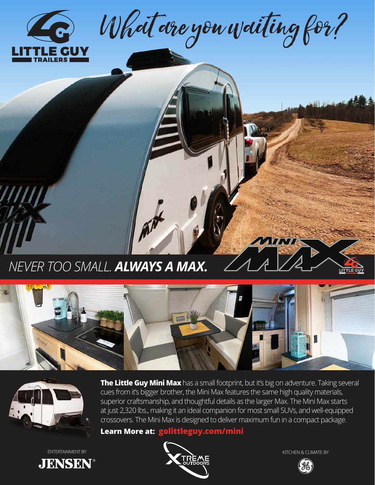

What are you waiting for?

*NEVER TOO SMALL. ALWAYS A MAX.*





**The Little Guy Mini Max** has a small footprint, but it's big on adventure. Taking several cues from it's bigger brother, the Mini Max features the same high quality materials, superior craftsmanship, and thoughtful details as the larger Max. The Mini Max starts at just 2,320 lbs., making it an ideal companion for most small SUVs, and well-equipped crossovers. The Mini Max is designed to deliver maximum fun in a compact package.

**Learn More at: golittleguy.com/mini**